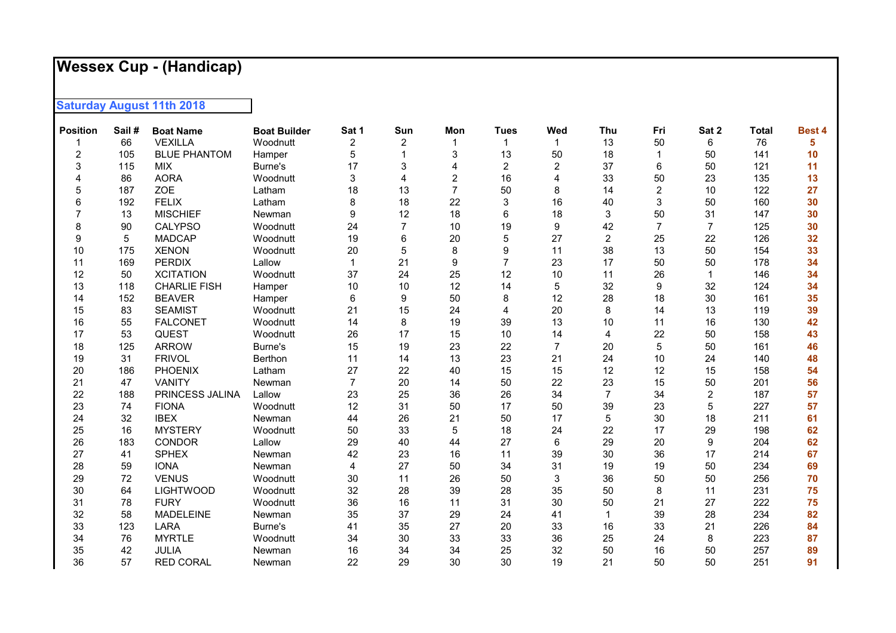## **Wessex Cup - (Handicap)**

**Saturday August 11th 2018** 

| <b>Position</b> | Sail# | <b>Boat Name</b>    | <b>Boat Builder</b> | Sat 1          | Sun            | Mon                     | <b>Tues</b>    | Wed            | Thu            | Fri            | Sat 2          | <b>Total</b> | <b>Best 4</b> |
|-----------------|-------|---------------------|---------------------|----------------|----------------|-------------------------|----------------|----------------|----------------|----------------|----------------|--------------|---------------|
|                 | 66    | <b>VEXILLA</b>      | Woodnutt            | $\overline{c}$ | 2              |                         | $\mathbf 1$    | 1              | 13             | 50             | 6              | 76           | 5             |
| 2               | 105   | <b>BLUE PHANTOM</b> | Hamper              | 5              |                | 3                       | 13             | 50             | 18             |                | 50             | 141          | 10            |
| 3               | 115   | <b>MIX</b>          | Burne's             | 17             | 3              | 4                       | $\overline{2}$ | $\overline{c}$ | 37             | 6              | 50             | 121          | 11            |
| $\Delta$        | 86    | <b>AORA</b>         | Woodnutt            | 3              |                | $\overline{\mathbf{c}}$ | 16             | $\overline{4}$ | 33             | 50             | 23             | 135          | 13            |
| 5               | 187   | ZOE                 | Latham              | 18             | 13             | $\overline{7}$          | 50             | 8              | 14             | $\overline{c}$ | 10             | 122          | 27            |
| 6               | 192   | <b>FELIX</b>        | Latham              | 8              | 18             | 22                      | 3              | 16             | 40             | 3              | 50             | 160          | 30            |
| 7               | 13    | <b>MISCHIEF</b>     | Newman              | 9              | 12             | 18                      | 6              | 18             | 3              | 50             | 31             | 147          | 30            |
| 8               | 90    | <b>CALYPSO</b>      | Woodnutt            | 24             | $\overline{7}$ | 10                      | 19             | 9              | 42             | $\overline{7}$ | $\overline{7}$ | 125          | 30            |
| 9               | 5     | <b>MADCAP</b>       | Woodnutt            | 19             | 6              | 20                      | 5              | 27             | $\overline{2}$ | 25             | 22             | 126          | 32            |
| 10              | 175   | <b>XENON</b>        | Woodnutt            | 20             | 5              | 8                       | 9              | 11             | 38             | 13             | 50             | 154          | 33            |
| 11              | 169   | <b>PERDIX</b>       | Lallow              | 1              | 21             | 9                       | $\overline{7}$ | 23             | 17             | 50             | 50             | 178          | 34            |
| 12              | 50    | <b>XCITATION</b>    | Woodnutt            | 37             | 24             | 25                      | 12             | 10             | 11             | 26             | $\mathbf{1}$   | 146          | 34            |
| 13              | 118   | <b>CHARLIE FISH</b> | Hamper              | 10             | 10             | 12                      | 14             | $\mathbf 5$    | 32             | 9              | 32             | 124          | 34            |
| 14              | 152   | <b>BEAVER</b>       | Hamper              | 6              | 9              | 50                      | 8              | 12             | 28             | 18             | 30             | 161          | 35            |
| 15              | 83    | <b>SEAMIST</b>      | Woodnutt            | 21             | 15             | 24                      | 4              | 20             | 8              | 14             | 13             | 119          | 39            |
| 16              | 55    | <b>FALCONET</b>     | Woodnutt            | 14             | 8              | 19                      | 39             | 13             | 10             | 11             | 16             | 130          | 42            |
| 17              | 53    | QUEST               | Woodnutt            | 26             | 17             | 15                      | 10             | 14             | 4              | 22             | 50             | 158          | 43            |
| 18              | 125   | <b>ARROW</b>        | Burne's             | 15             | 19             | 23                      | 22             | $\overline{7}$ | 20             | 5              | 50             | 161          | 46            |
| 19              | 31    | <b>FRIVOL</b>       | Berthon             | 11             | 14             | 13                      | 23             | 21             | 24             | 10             | 24             | 140          | 48            |
| 20              | 186   | <b>PHOENIX</b>      | Latham              | 27             | 22             | 40                      | 15             | 15             | 12             | 12             | 15             | 158          | 54            |
| 21              | 47    | <b>VANITY</b>       | Newman              | $\overline{7}$ | 20             | 14                      | 50             | 22             | 23             | 15             | 50             | 201          | 56            |
| 22              | 188   | PRINCESS JALINA     | Lallow              | 23             | 25             | 36                      | 26             | 34             | $\overline{7}$ | 34             | $\overline{2}$ | 187          | 57            |
| 23              | 74    | <b>FIONA</b>        | Woodnutt            | 12             | 31             | 50                      | 17             | 50             | 39             | 23             | 5              | 227          | 57            |
| 24              | 32    | <b>IBEX</b>         | Newman              | 44             | 26             | 21                      | 50             | 17             | 5              | 30             | 18             | 211          | 61            |
| 25              | 16    | <b>MYSTERY</b>      | Woodnutt            | 50             | 33             | 5                       | 18             | 24             | 22             | 17             | 29             | 198          | 62            |
| 26              | 183   | <b>CONDOR</b>       | Lallow              | 29             | 40             | 44                      | 27             | 6              | 29             | 20             | 9              | 204          | 62            |
| 27              | 41    | <b>SPHEX</b>        | Newman              | 42             | 23             | 16                      | 11             | 39             | 30             | 36             | 17             | 214          | 67            |
| 28              | 59    | <b>IONA</b>         | Newman              | 4              | 27             | 50                      | 34             | 31             | 19             | 19             | 50             | 234          | 69            |
| 29              | 72    | <b>VENUS</b>        | Woodnutt            | 30             | 11             | 26                      | 50             | 3              | 36             | 50             | 50             | 256          | 70            |
| 30              | 64    | <b>LIGHTWOOD</b>    | Woodnutt            | 32             | 28             | 39                      | 28             | 35             | 50             | 8              | 11             | 231          | 75            |
| 31              | 78    | <b>FURY</b>         | Woodnutt            | 36             | 16             | 11                      | 31             | 30             | 50             | 21             | 27             | 222          | 75            |
| 32              | 58    | <b>MADELEINE</b>    | Newman              | 35             | 37             | 29                      | 24             | 41             |                | 39             | 28             | 234          | 82            |
| 33              | 123   | LARA                | Burne's             | 41             | 35             | 27                      | 20             | 33             | 16             | 33             | 21             | 226          | 84            |
| 34              | 76    | <b>MYRTLE</b>       | Woodnutt            | 34             | 30             | 33                      | 33             | 36             | 25             | 24             | 8              | 223          | 87            |
| 35              | 42    | JULIA               | Newman              | 16             | 34             | 34                      | 25             | 32             | 50             | 16             | 50             | 257          | 89            |
| 36              | 57    | <b>RED CORAL</b>    | Newman              | 22             | 29             | 30                      | 30             | 19             | 21             | 50             | 50             | 251          | 91            |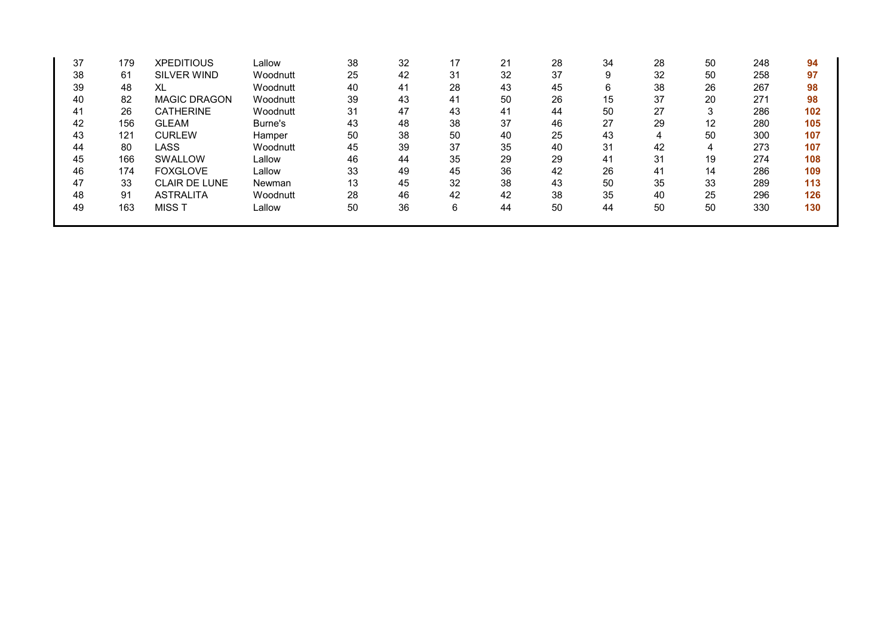| 37 | 179 | <b>XPEDITIOUS</b>    | Lallow   | 38 | 32 | 17 | 21 | 28 | 34 | 28 | 50 | 248 | 94  |
|----|-----|----------------------|----------|----|----|----|----|----|----|----|----|-----|-----|
| 38 | 61  | <b>SILVER WIND</b>   | Woodnutt | 25 | 42 | 31 | 32 | 37 | 9  | 32 | 50 | 258 | 97  |
| 39 | 48  | XL                   | Woodnutt | 40 | 41 | 28 | 43 | 45 | 6  | 38 | 26 | 267 | 98  |
| 40 | 82  | <b>MAGIC DRAGON</b>  | Woodnutt | 39 | 43 | 41 | 50 | 26 | 15 | 37 | 20 | 271 | 98  |
| 41 | 26  | <b>CATHERINE</b>     | Woodnutt | 31 | 47 | 43 | 41 | 44 | 50 | 27 | 3  | 286 | 102 |
| 42 | 156 | <b>GLEAM</b>         | Burne's  | 43 | 48 | 38 | 37 | 46 | 27 | 29 | 12 | 280 | 105 |
| 43 | 121 | <b>CURLEW</b>        | Hamper   | 50 | 38 | 50 | 40 | 25 | 43 | 4  | 50 | 300 | 107 |
| 44 | 80  | LASS                 | Woodnutt | 45 | 39 | 37 | 35 | 40 | 31 | 42 | 4  | 273 | 107 |
| 45 | 166 | SWALLOW              | Lallow   | 46 | 44 | 35 | 29 | 29 | 41 | 31 | 19 | 274 | 108 |
| 46 | 174 | <b>FOXGLOVE</b>      | Lallow   | 33 | 49 | 45 | 36 | 42 | 26 | 41 | 14 | 286 | 109 |
| 47 | 33  | <b>CLAIR DE LUNE</b> | Newman   | 13 | 45 | 32 | 38 | 43 | 50 | 35 | 33 | 289 | 113 |
| 48 | 91  | <b>ASTRALITA</b>     | Woodnutt | 28 | 46 | 42 | 42 | 38 | 35 | 40 | 25 | 296 | 126 |
| 49 | 163 | MISS T               | Lallow   | 50 | 36 | 6  | 44 | 50 | 44 | 50 | 50 | 330 | 130 |
|    |     |                      |          |    |    |    |    |    |    |    |    |     |     |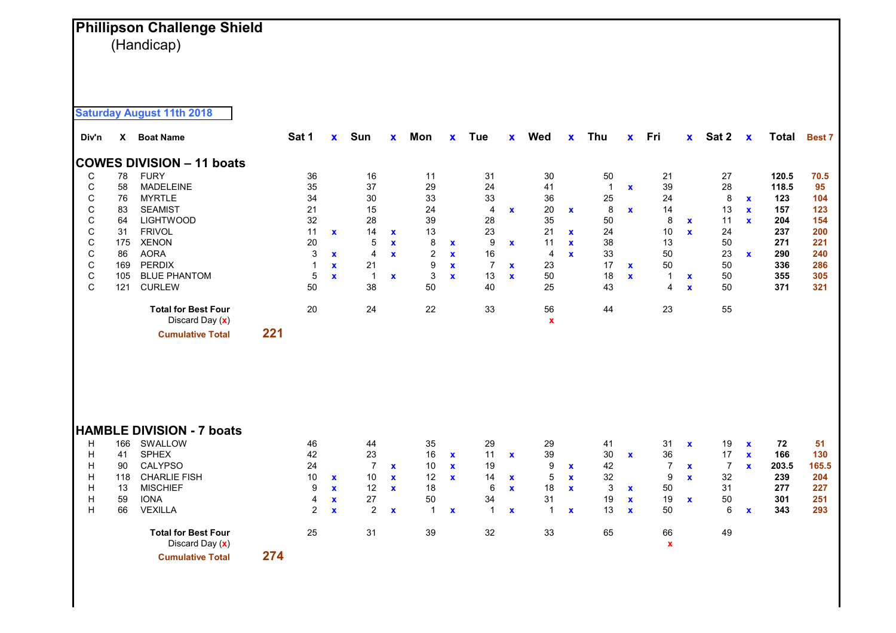## **Phillipson Challenge Shield** (Handicap)

**Saturday August 11th 2018**

| Div'n       | X   | <b>Boat Name</b>                              |     | Sat 1          | $\mathbf{x}$       | Sun            | $\mathbf x$  | Mon            | X            | <b>Tue</b>     | <b>X</b>     | Wed               | $\mathbf{x}$ | Thu          | $\mathbf{x}$ | Fri                      | $\mathbf{x}$ | Sat 2          | $\boldsymbol{\mathsf{x}}$ | <b>Total</b> | <b>Best 7</b> |
|-------------|-----|-----------------------------------------------|-----|----------------|--------------------|----------------|--------------|----------------|--------------|----------------|--------------|-------------------|--------------|--------------|--------------|--------------------------|--------------|----------------|---------------------------|--------------|---------------|
|             |     | <b>COWES DIVISION - 11 boats</b>              |     |                |                    |                |              |                |              |                |              |                   |              |              |              |                          |              |                |                           |              |               |
| С           | 78  | <b>FURY</b>                                   |     | 36             |                    | 16             |              | 11             |              | 31             |              | $30\,$            |              | 50           |              | 21                       |              | 27             |                           | 120.5        | 70.5          |
| С           | 58  | <b>MADELEINE</b>                              |     | 35             |                    | 37             |              | 29             |              | 24             |              | 41                |              | $\mathbf{1}$ | $\mathbf x$  | 39                       |              | 28             |                           | 118.5        | 95            |
| С           | 76  | <b>MYRTLE</b>                                 |     | 34             |                    | 30             |              | 33             |              | 33             |              | 36                |              | 25           |              | 24                       |              | 8              | $\mathbf x$               | 123          | 104           |
| C           | 83  | <b>SEAMIST</b>                                |     | 21             |                    | 15             |              | 24             |              | 4              | $\mathbf x$  | 20                | $\mathbf{x}$ | 8            | $\mathbf x$  | 14                       |              | 13             | $\mathbf x$               | 157          | 123           |
| C           | 64  | <b>LIGHTWOOD</b>                              |     | 32             |                    | 28             |              | 39             |              | 28             |              | 35                |              | 50           |              | 8                        | $\mathbf{x}$ | 11             | $\mathbf{x}$              | 204          | 154           |
| $\mathsf C$ | 31  | <b>FRIVOL</b>                                 |     | 11             | $\mathbf{x}$       | 14             | $\mathbf x$  | 13             |              | 23             |              | 21                | $\mathbf x$  | 24           |              | 10                       | $\mathbf{x}$ | 24             |                           | 237          | 200           |
| $\mathsf C$ | 175 | <b>XENON</b>                                  |     | 20             |                    | 5              | $\mathbf x$  | 8              | $\mathbf x$  | 9              | $\mathbf x$  | 11                | $\mathbf x$  | 38           |              | 13                       |              | 50             |                           | 271          | 221           |
| $\mathsf C$ | 86  | <b>AORA</b>                                   |     | 3              | $\mathbf{x}$       | 4              | $\mathbf x$  | $\overline{2}$ | $\mathbf{x}$ | 16             |              | $\overline{4}$    | $\mathbf{x}$ | 33           |              | 50                       |              | 23             | $\mathbf x$               | 290          | 240           |
| $\mathsf C$ | 169 | <b>PERDIX</b>                                 |     | 1              | $\mathbf x$        | 21             |              | 9              | $\mathbf x$  | $\overline{7}$ | $\mathbf x$  | 23                |              | 17           | $\mathbf x$  | 50                       |              | 50             |                           | 336          | 286           |
| $\mathsf C$ | 105 | <b>BLUE PHANTOM</b>                           |     | 5              | $\mathbf{x}$       | $\mathbf{1}$   | $\mathbf x$  | 3              | $\mathbf x$  | 13             | $\mathbf x$  | 50                |              | 18           | $\mathbf x$  | $\mathbf{1}$             | $\mathbf{x}$ | 50             |                           | 355          | 305           |
| C           | 121 | <b>CURLEW</b>                                 |     | 50             |                    | 38             |              | 50             |              | 40             |              | 25                |              | 43           |              | 4                        | $\mathbf{x}$ | 50             |                           | 371          | 321           |
|             |     | <b>Total for Best Four</b><br>Discard Day (x) |     | 20             |                    | 24             |              | 22             |              | 33             |              | 56<br>$\mathbf x$ |              | 44           |              | 23                       |              | 55             |                           |              |               |
|             |     | <b>Cumulative Total</b>                       | 221 |                |                    |                |              |                |              |                |              |                   |              |              |              |                          |              |                |                           |              |               |
|             |     |                                               |     |                |                    |                |              |                |              |                |              |                   |              |              |              |                          |              |                |                           |              |               |
|             |     | <b>HAMBLE DIVISION - 7 boats</b>              |     |                |                    |                |              |                |              |                |              |                   |              |              |              |                          |              |                |                           |              |               |
| H           | 166 | SWALLOW                                       |     | 46             |                    | 44             |              | 35             |              | 29             |              | 29                |              | 41           |              | 31                       | $\mathbf x$  | 19             | $\mathbf x$               | 72           | 51            |
| H           | 41  | <b>SPHEX</b>                                  |     | 42             |                    | 23             |              | 16             | $\mathbf{x}$ | 11             | $\mathbf x$  | 39                |              | 30           | $\mathbf x$  | 36                       |              | 17             | $\mathbf x$               | 166          | 130           |
| Н           | 90  | <b>CALYPSO</b>                                |     | 24             |                    | $\overline{7}$ | $\mathbf x$  | 10             | $\mathbf x$  | 19             |              | 9                 | $\mathbf{x}$ | 42           |              | $\overline{7}$           | $\mathbf x$  | $\overline{7}$ | $\mathbf{x}$              | 203.5        | 165.5         |
| Н           | 118 | <b>CHARLIE FISH</b>                           |     | 10             | $\mathbf x$        | 10             | $\mathbf x$  | 12             | $\mathbf x$  | 14             | $\mathbf{x}$ | 5                 | $\mathbf{x}$ | 32           |              | 9                        | $\mathbf{x}$ | 32             |                           | 239          | 204           |
| Н           | 13  | <b>MISCHIEF</b>                               |     | 9              | $\mathbf{x}$       | 12             | $\mathbf{x}$ | 18             |              | 6              | $\mathbf x$  | 18                | $\mathbf{x}$ | 3            | $\mathbf x$  | 50                       |              | 31             |                           | 277          | 227           |
| Н           | 59  | <b>IONA</b>                                   |     | 4              | $\pmb{\mathsf{x}}$ | 27             |              | 50             |              | 34             |              | 31                |              | 19           | $\mathbf x$  | 19                       | $\pmb{\chi}$ | 50             |                           | 301          | 251           |
| Н           | 66  | <b>VEXILLA</b>                                |     | $\overline{2}$ | $\mathbf{x}$       | 2              | $\mathbf x$  | $\mathbf{1}$   | X            | $\mathbf 1$    | $\mathbf x$  | 1                 | $\mathbf x$  | 13           | $\mathbf x$  | 50                       |              | 6              | $\mathbf x$               | 343          | 293           |
|             |     | <b>Total for Best Four</b><br>Discard Day (x) |     | 25             |                    | 31             |              | 39             |              | 32             |              | 33                |              | 65           |              | 66<br>$\pmb{\mathsf{x}}$ |              | 49             |                           |              |               |
|             |     | <b>Cumulative Total</b>                       | 274 |                |                    |                |              |                |              |                |              |                   |              |              |              |                          |              |                |                           |              |               |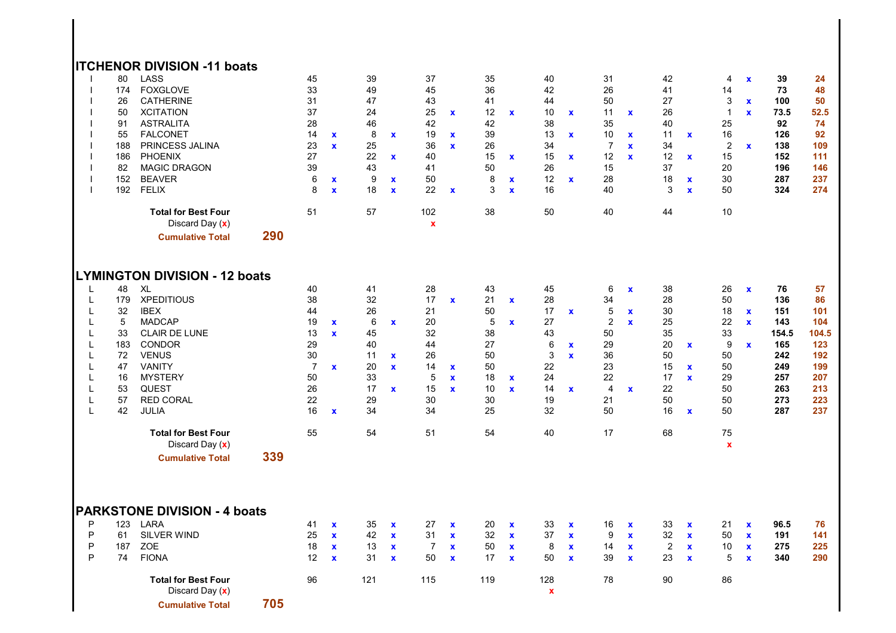## **ITCHENOR DIVISION -11 boats**

|        | 80<br>174<br>26<br>50<br>91<br>55<br>188<br>186<br>82<br>152<br>192 | LASS<br><b>FOXGLOVE</b><br><b>CATHERINE</b><br><b>XCITATION</b><br><b>ASTRALITA</b><br><b>FALCONET</b><br>PRINCESS JALINA<br><b>PHOENIX</b><br><b>MAGIC DRAGON</b><br><b>BEAVER</b><br><b>FELIX</b><br><b>Total for Best Four</b><br>Discard Day (x)<br><b>Cumulative Total</b> | 290 | 45<br>33<br>31<br>37<br>28<br>14<br>23<br>27<br>39<br>6<br>8<br>51 | $\mathbf x$<br>$\mathbf x$<br>$\pmb{\mathsf{x}}$<br>$\mathbf x$ | 39<br>49<br>47<br>24<br>46<br>8<br>25<br>22<br>43<br>9<br>18<br>57 | $\mathbf{x}$<br>$\mathbf{x}$<br>$\mathbf x$<br>$\mathbf x$ | 37<br>45<br>43<br>25<br>42<br>19<br>36<br>40<br>41<br>50<br>22<br>102<br>$\mathbf{x}$ | $\mathbf x$<br>$\mathbf x$<br>$\mathbf{x}$<br>$\mathbf x$ | 35<br>36<br>41<br>12<br>42<br>39<br>26<br>15<br>50<br>8<br>3<br>38 | $\mathbf x$<br>$\mathbf x$<br>$\mathbf x$<br>$\mathbf x$ | 40<br>42<br>44<br>10<br>38<br>13<br>34<br>15<br>26<br>12<br>16<br>50 | $\mathbf x$<br>$\mathbf x$<br>$\mathbf x$<br>$\mathbf x$ | 31<br>26<br>50<br>11<br>35<br>10<br>$\overline{7}$<br>12<br>15<br>28<br>40<br>40 | $\mathbf x$<br>$\mathbf x$<br>$\mathbf x$<br>$\mathbf x$ | 42<br>41<br>27<br>26<br>40<br>11<br>34<br>12<br>37<br>18<br>3<br>44 | $\mathbf x$<br>$\mathbf x$<br>$\mathbf x$<br>$\mathbf{x}$ | 4<br>14<br>3<br>$\mathbf{1}$<br>25<br>16<br>$\sqrt{2}$<br>15<br>20<br>30<br>50<br>10 | $\mathbf x$<br>$\mathbf x$<br>$\mathbf x$<br>$\mathbf x$ | 39<br>73<br>100<br>73.5<br>92<br>126<br>138<br>152<br>196<br>287<br>324 | 24<br>48<br>50<br>52.5<br>74<br>92<br>109<br>111<br>146<br>237<br>274 |
|--------|---------------------------------------------------------------------|---------------------------------------------------------------------------------------------------------------------------------------------------------------------------------------------------------------------------------------------------------------------------------|-----|--------------------------------------------------------------------|-----------------------------------------------------------------|--------------------------------------------------------------------|------------------------------------------------------------|---------------------------------------------------------------------------------------|-----------------------------------------------------------|--------------------------------------------------------------------|----------------------------------------------------------|----------------------------------------------------------------------|----------------------------------------------------------|----------------------------------------------------------------------------------|----------------------------------------------------------|---------------------------------------------------------------------|-----------------------------------------------------------|--------------------------------------------------------------------------------------|----------------------------------------------------------|-------------------------------------------------------------------------|-----------------------------------------------------------------------|
|        |                                                                     |                                                                                                                                                                                                                                                                                 |     |                                                                    |                                                                 |                                                                    |                                                            |                                                                                       |                                                           |                                                                    |                                                          |                                                                      |                                                          |                                                                                  |                                                          |                                                                     |                                                           |                                                                                      |                                                          |                                                                         |                                                                       |
|        |                                                                     | <b>LYMINGTON DIVISION - 12 boats</b>                                                                                                                                                                                                                                            |     |                                                                    |                                                                 |                                                                    |                                                            |                                                                                       |                                                           |                                                                    |                                                          |                                                                      |                                                          |                                                                                  |                                                          |                                                                     |                                                           |                                                                                      |                                                          |                                                                         |                                                                       |
| L      | 48                                                                  | XL<br><b>XPEDITIOUS</b>                                                                                                                                                                                                                                                         |     | 40                                                                 |                                                                 | 41                                                                 |                                                            | 28<br>17                                                                              |                                                           | 43                                                                 |                                                          | 45                                                                   |                                                          | 6                                                                                | $\mathbf x$                                              | 38                                                                  |                                                           | 26                                                                                   | $\mathbf x$                                              | 76                                                                      | 57                                                                    |
| L      | 179                                                                 |                                                                                                                                                                                                                                                                                 |     | 38<br>44                                                           |                                                                 | 32                                                                 |                                                            |                                                                                       | $\mathbf x$                                               | 21                                                                 | $\mathbf x$                                              | 28                                                                   |                                                          | 34                                                                               |                                                          | 28                                                                  |                                                           | 50                                                                                   |                                                          | 136                                                                     | 86                                                                    |
| L<br>Г | 32<br>5                                                             | <b>IBEX</b><br><b>MADCAP</b>                                                                                                                                                                                                                                                    |     | 19                                                                 |                                                                 | 26<br>6                                                            |                                                            | 21<br>20                                                                              |                                                           | 50<br>5                                                            |                                                          | 17<br>27                                                             | $\mathbf x$                                              | 5<br>$\sqrt{2}$                                                                  | $\mathbf x$<br>$\mathbf{x}$                              | 30<br>25                                                            |                                                           | 18<br>22                                                                             | $\mathbf x$<br>$\mathbf{x}$                              | 151<br>143                                                              | 101<br>104                                                            |
| L      | 33                                                                  | CLAIR DE LUNE                                                                                                                                                                                                                                                                   |     | 13                                                                 | $\mathbf x$<br>$\mathbf{x}$                                     | 45                                                                 | $\mathbf x$                                                | 32                                                                                    |                                                           | 38                                                                 | $\mathbf x$                                              | 43                                                                   |                                                          | 50                                                                               |                                                          | 35                                                                  |                                                           | 33                                                                                   |                                                          | 154.5                                                                   | 104.5                                                                 |
|        | 183                                                                 | <b>CONDOR</b>                                                                                                                                                                                                                                                                   |     | 29                                                                 |                                                                 | 40                                                                 |                                                            | 44                                                                                    |                                                           | 27                                                                 |                                                          | 6                                                                    |                                                          | 29                                                                               |                                                          | 20                                                                  |                                                           | 9                                                                                    | $\mathbf x$                                              | 165                                                                     | 123                                                                   |
| L<br>L | 72                                                                  | <b>VENUS</b>                                                                                                                                                                                                                                                                    |     | 30                                                                 |                                                                 | 11                                                                 |                                                            | 26                                                                                    |                                                           | 50                                                                 |                                                          | 3                                                                    | $\mathbf{x}$<br>$\mathbf{x}$                             | 36                                                                               |                                                          | 50                                                                  | $\mathbf x$                                               | 50                                                                                   |                                                          | 242                                                                     | 192                                                                   |
|        | 47                                                                  | <b>VANITY</b>                                                                                                                                                                                                                                                                   |     | $\overline{7}$                                                     | $\mathbf{x}$                                                    | 20                                                                 | $\mathbf x$<br>$\mathbf{x}$                                | 14                                                                                    |                                                           | 50                                                                 |                                                          | 22                                                                   |                                                          | 23                                                                               |                                                          | 15                                                                  |                                                           | 50                                                                                   |                                                          | 249                                                                     | 199                                                                   |
| L<br>L | 16                                                                  | <b>MYSTERY</b>                                                                                                                                                                                                                                                                  |     | 50                                                                 |                                                                 | 33                                                                 |                                                            | 5                                                                                     | $\mathbf{x}$                                              |                                                                    |                                                          | 24                                                                   |                                                          | 22                                                                               |                                                          | 17                                                                  | $\mathbf x$<br>$\mathbf{x}$                               | 29                                                                                   |                                                          | 257                                                                     | 207                                                                   |
|        | 53                                                                  | <b>QUEST</b>                                                                                                                                                                                                                                                                    |     | 26                                                                 |                                                                 | 17                                                                 |                                                            | 15                                                                                    | $\mathbf x$                                               | 18<br>10                                                           | $\mathbf x$                                              |                                                                      |                                                          | 4                                                                                |                                                          | 22                                                                  |                                                           | 50                                                                                   |                                                          | 263                                                                     | 213                                                                   |
| L      | 57                                                                  | <b>RED CORAL</b>                                                                                                                                                                                                                                                                |     | 22                                                                 |                                                                 | 29                                                                 | $\mathbf{x}$                                               | 30                                                                                    | $\mathbf{x}$                                              | 30                                                                 | $\mathbf x$                                              | 14<br>19                                                             | $\mathbf{x}$                                             | 21                                                                               | $\mathbf x$                                              | 50                                                                  |                                                           | 50                                                                                   |                                                          | 273                                                                     | 223                                                                   |
| L<br>L | 42                                                                  |                                                                                                                                                                                                                                                                                 |     | 16                                                                 |                                                                 | 34                                                                 |                                                            | 34                                                                                    |                                                           | 25                                                                 |                                                          | 32                                                                   |                                                          | 50                                                                               |                                                          | 16                                                                  |                                                           | 50                                                                                   |                                                          | 287                                                                     | 237                                                                   |
|        |                                                                     | <b>JULIA</b>                                                                                                                                                                                                                                                                    |     |                                                                    | $\mathbf{x}$                                                    |                                                                    |                                                            |                                                                                       |                                                           |                                                                    |                                                          |                                                                      |                                                          |                                                                                  |                                                          |                                                                     | $\mathbf x$                                               |                                                                                      |                                                          |                                                                         |                                                                       |
|        |                                                                     | <b>Total for Best Four</b>                                                                                                                                                                                                                                                      |     | 55                                                                 |                                                                 | 54                                                                 |                                                            | 51                                                                                    |                                                           | 54                                                                 |                                                          | 40                                                                   |                                                          | 17                                                                               |                                                          | 68                                                                  |                                                           | 75                                                                                   |                                                          |                                                                         |                                                                       |
|        |                                                                     | Discard Day (x)                                                                                                                                                                                                                                                                 |     |                                                                    |                                                                 |                                                                    |                                                            |                                                                                       |                                                           |                                                                    |                                                          |                                                                      |                                                          |                                                                                  |                                                          |                                                                     |                                                           | $\pmb{\mathsf{x}}$                                                                   |                                                          |                                                                         |                                                                       |
|        |                                                                     | <b>Cumulative Total</b>                                                                                                                                                                                                                                                         | 339 |                                                                    |                                                                 |                                                                    |                                                            |                                                                                       |                                                           |                                                                    |                                                          |                                                                      |                                                          |                                                                                  |                                                          |                                                                     |                                                           |                                                                                      |                                                          |                                                                         |                                                                       |
|        |                                                                     | <b>PARKSTONE DIVISION - 4 boats</b>                                                                                                                                                                                                                                             |     |                                                                    |                                                                 |                                                                    |                                                            |                                                                                       |                                                           |                                                                    |                                                          |                                                                      |                                                          |                                                                                  |                                                          |                                                                     |                                                           |                                                                                      |                                                          |                                                                         |                                                                       |
| P      | 123                                                                 | LARA                                                                                                                                                                                                                                                                            |     | 41                                                                 | $\mathbf{x}$                                                    | 35                                                                 | $\mathbf{x}$                                               | 27                                                                                    | $\mathbf x$                                               | 20                                                                 | X                                                        | 33                                                                   | $\mathbf x$                                              | 16                                                                               | $\mathbf x$                                              | 33                                                                  | $\mathbf{x}$                                              | 21                                                                                   | $\mathbf x$                                              | 96.5                                                                    | 76                                                                    |
| P      | 61                                                                  | SILVER WIND                                                                                                                                                                                                                                                                     |     | 25                                                                 | $\mathbf{x}$                                                    | 42                                                                 | $\mathbf{x}$                                               | 31                                                                                    | $\mathbf x$                                               | 32                                                                 | $\mathbf{x}$                                             | 37                                                                   | $\mathbf x$                                              | 9                                                                                | $\mathbf x$                                              | 32                                                                  | $\mathbf x$                                               | 50                                                                                   | $\mathbf x$                                              | 191                                                                     | 141                                                                   |
| P      | 187                                                                 | ZOE                                                                                                                                                                                                                                                                             |     | 18                                                                 | $\mathbf x$                                                     | 13                                                                 | $\mathbf x$                                                | $\overline{7}$                                                                        | $\mathbf x$                                               | 50                                                                 | $\mathbf x$                                              | 8                                                                    | $\mathbf x$                                              | 14                                                                               | $\mathbf x$                                              | $\boldsymbol{2}$                                                    | $\mathbf x$                                               | 10                                                                                   | $\mathbf x$                                              | 275                                                                     | 225                                                                   |
| P      | 74                                                                  | <b>FIONA</b>                                                                                                                                                                                                                                                                    |     | 12                                                                 | $\mathbf{x}$                                                    | 31                                                                 | $\mathbf x$                                                | 50                                                                                    | $\mathbf x$                                               | 17                                                                 | $\mathbf x$                                              | 50                                                                   | $\mathbf x$                                              | 39                                                                               | $\mathbf x$                                              | 23                                                                  | $\pmb{\mathsf{x}}$                                        | 5                                                                                    | $\mathbf x$                                              | 340                                                                     | 290                                                                   |
|        |                                                                     | <b>Total for Best Four</b><br>Discard Day (x)                                                                                                                                                                                                                                   |     | 96                                                                 |                                                                 | 121                                                                |                                                            | 115                                                                                   |                                                           | 119                                                                |                                                          | 128<br>$\pmb{\mathsf{x}}$                                            |                                                          | 78                                                                               |                                                          | 90                                                                  |                                                           | 86                                                                                   |                                                          |                                                                         |                                                                       |
|        |                                                                     | <b>Cumulative Total</b>                                                                                                                                                                                                                                                         | 705 |                                                                    |                                                                 |                                                                    |                                                            |                                                                                       |                                                           |                                                                    |                                                          |                                                                      |                                                          |                                                                                  |                                                          |                                                                     |                                                           |                                                                                      |                                                          |                                                                         |                                                                       |
|        |                                                                     |                                                                                                                                                                                                                                                                                 |     |                                                                    |                                                                 |                                                                    |                                                            |                                                                                       |                                                           |                                                                    |                                                          |                                                                      |                                                          |                                                                                  |                                                          |                                                                     |                                                           |                                                                                      |                                                          |                                                                         |                                                                       |